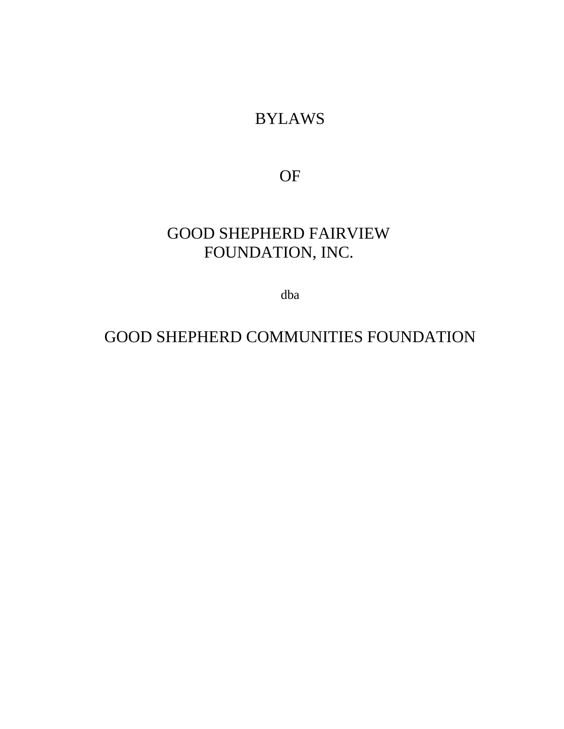# BYLAWS

OF

# GOOD SHEPHERD FAIRVIEW FOUNDATION, INC.

dba

# GOOD SHEPHERD COMMUNITIES FOUNDATION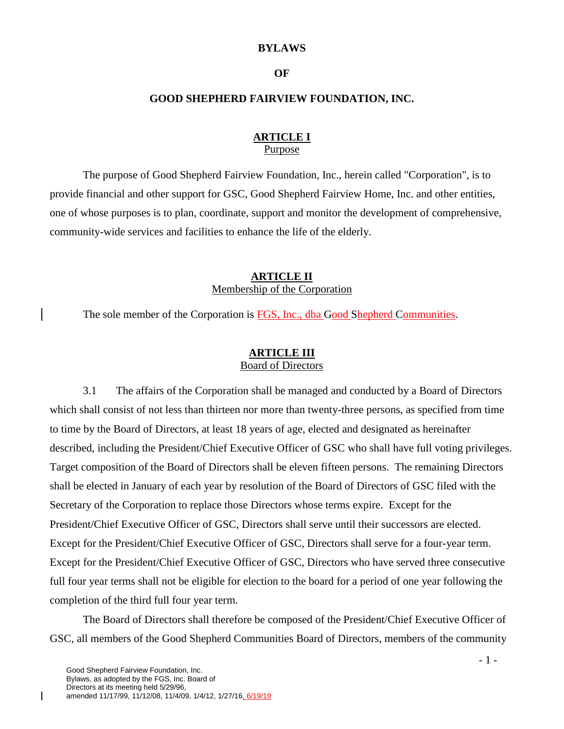#### **BYLAWS**

#### **OF**

#### **GOOD SHEPHERD FAIRVIEW FOUNDATION, INC.**

#### **ARTICLE I** Purpose

The purpose of Good Shepherd Fairview Foundation, Inc., herein called "Corporation", is to provide financial and other support for GSC, Good Shepherd Fairview Home, Inc. and other entities, one of whose purposes is to plan, coordinate, support and monitor the development of comprehensive, community-wide services and facilities to enhance the life of the elderly.

#### **ARTICLE II** Membership of the Corporation

The sole member of the Corporation is FGS, Inc., dba Good Shepherd Communities.

#### **ARTICLE III** Board of Directors

3.1 The affairs of the Corporation shall be managed and conducted by a Board of Directors which shall consist of not less than thirteen nor more than twenty-three persons, as specified from time to time by the Board of Directors, at least 18 years of age, elected and designated as hereinafter described, including the President/Chief Executive Officer of GSC who shall have full voting privileges. Target composition of the Board of Directors shall be eleven fifteen persons. The remaining Directors shall be elected in January of each year by resolution of the Board of Directors of GSC filed with the Secretary of the Corporation to replace those Directors whose terms expire. Except for the President/Chief Executive Officer of GSC, Directors shall serve until their successors are elected. Except for the President/Chief Executive Officer of GSC, Directors shall serve for a four-year term. Except for the President/Chief Executive Officer of GSC, Directors who have served three consecutive full four year terms shall not be eligible for election to the board for a period of one year following the completion of the third full four year term.

The Board of Directors shall therefore be composed of the President/Chief Executive Officer of GSC, all members of the Good Shepherd Communities Board of Directors, members of the community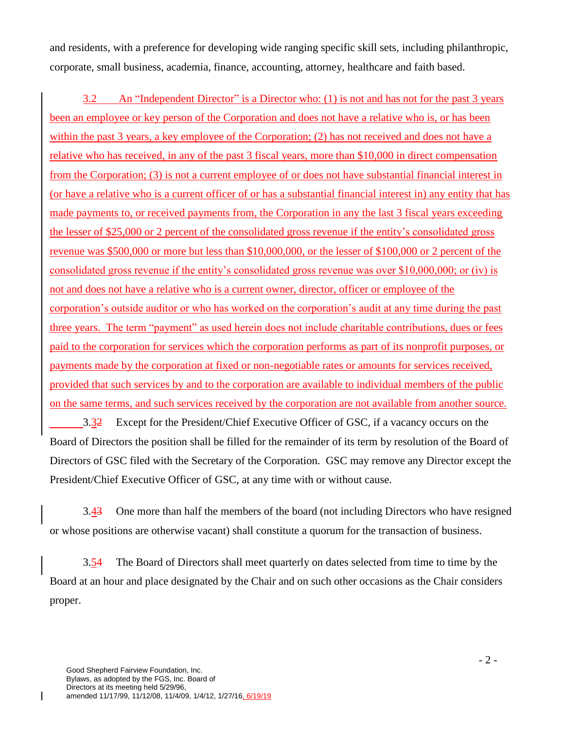and residents, with a preference for developing wide ranging specific skill sets, including philanthropic, corporate, small business, academia, finance, accounting, attorney, healthcare and faith based.

3.2 An "Independent Director" is a Director who: (1) is not and has not for the past 3 years been an employee or key person of the Corporation and does not have a relative who is, or has been within the past 3 years, a key employee of the Corporation; (2) has not received and does not have a relative who has received, in any of the past 3 fiscal years, more than \$10,000 in direct compensation from the Corporation; (3) is not a current employee of or does not have substantial financial interest in (or have a relative who is a current officer of or has a substantial financial interest in) any entity that has made payments to, or received payments from, the Corporation in any the last 3 fiscal years exceeding the lesser of \$25,000 or 2 percent of the consolidated gross revenue if the entity's consolidated gross revenue was \$500,000 or more but less than \$10,000,000, or the lesser of \$100,000 or 2 percent of the consolidated gross revenue if the entity's consolidated gross revenue was over \$10,000,000; or (iv) is not and does not have a relative who is a current owner, director, officer or employee of the corporation's outside auditor or who has worked on the corporation's audit at any time during the past three years. The term "payment" as used herein does not include charitable contributions, dues or fees paid to the corporation for services which the corporation performs as part of its nonprofit purposes, or payments made by the corporation at fixed or non-negotiable rates or amounts for services received, provided that such services by and to the corporation are available to individual members of the public on the same terms, and such services received by the corporation are not available from another source.

3.32 Except for the President/Chief Executive Officer of GSC, if a vacancy occurs on the Board of Directors the position shall be filled for the remainder of its term by resolution of the Board of Directors of GSC filed with the Secretary of the Corporation. GSC may remove any Director except the President/Chief Executive Officer of GSC, at any time with or without cause.

3.43 One more than half the members of the board (not including Directors who have resigned or whose positions are otherwise vacant) shall constitute a quorum for the transaction of business.

3.54 The Board of Directors shall meet quarterly on dates selected from time to time by the Board at an hour and place designated by the Chair and on such other occasions as the Chair considers proper.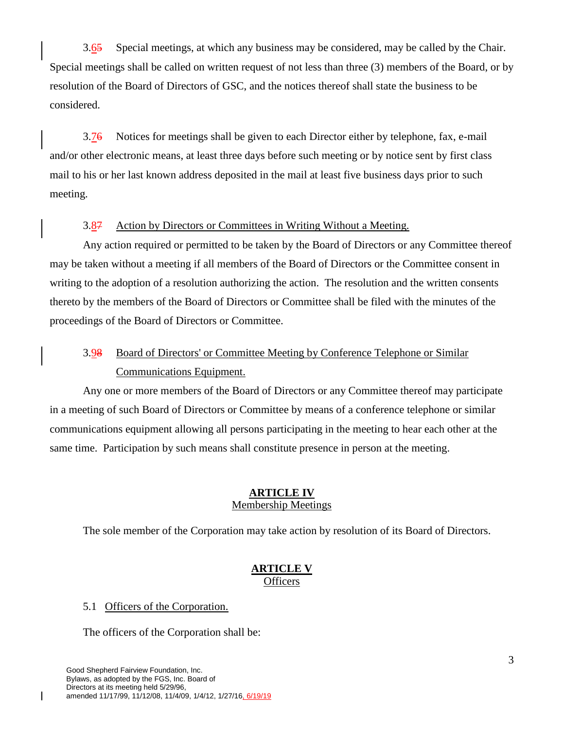3.65 Special meetings, at which any business may be considered, may be called by the Chair. Special meetings shall be called on written request of not less than three (3) members of the Board, or by resolution of the Board of Directors of GSC, and the notices thereof shall state the business to be considered.

3.76 Notices for meetings shall be given to each Director either by telephone, fax, e-mail and/or other electronic means, at least three days before such meeting or by notice sent by first class mail to his or her last known address deposited in the mail at least five business days prior to such meeting.

#### 3.87 Action by Directors or Committees in Writing Without a Meeting.

Any action required or permitted to be taken by the Board of Directors or any Committee thereof may be taken without a meeting if all members of the Board of Directors or the Committee consent in writing to the adoption of a resolution authorizing the action. The resolution and the written consents thereto by the members of the Board of Directors or Committee shall be filed with the minutes of the proceedings of the Board of Directors or Committee.

# 3.98 Board of Directors' or Committee Meeting by Conference Telephone or Similar Communications Equipment.

Any one or more members of the Board of Directors or any Committee thereof may participate in a meeting of such Board of Directors or Committee by means of a conference telephone or similar communications equipment allowing all persons participating in the meeting to hear each other at the same time. Participation by such means shall constitute presence in person at the meeting.

#### **ARTICLE IV** Membership Meetings

The sole member of the Corporation may take action by resolution of its Board of Directors.

#### **ARTICLE V Officers**

#### 5.1 Officers of the Corporation.

The officers of the Corporation shall be: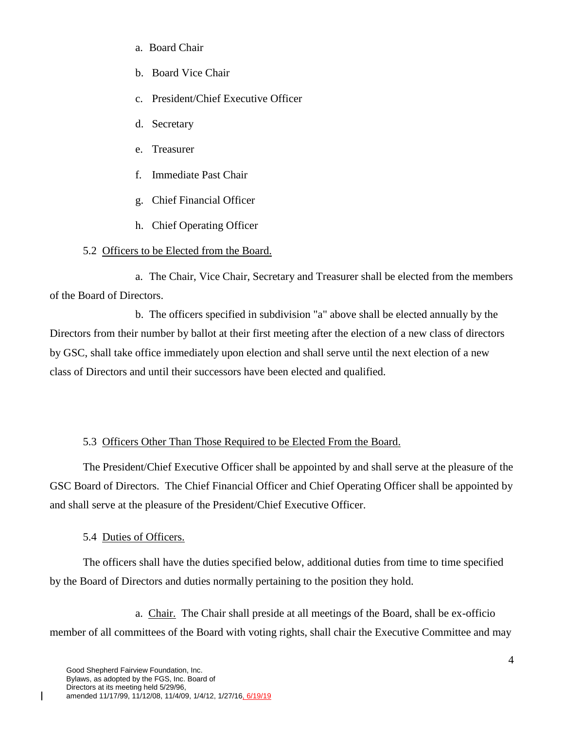- a. Board Chair
- b. Board Vice Chair
- c. President/Chief Executive Officer
- d. Secretary
- e. Treasurer
- f. Immediate Past Chair
- g. Chief Financial Officer
- h. Chief Operating Officer

## 5.2 Officers to be Elected from the Board.

 a. The Chair, Vice Chair, Secretary and Treasurer shall be elected from the members of the Board of Directors.

 b. The officers specified in subdivision "a" above shall be elected annually by the Directors from their number by ballot at their first meeting after the election of a new class of directors by GSC, shall take office immediately upon election and shall serve until the next election of a new class of Directors and until their successors have been elected and qualified.

## 5.3 Officers Other Than Those Required to be Elected From the Board.

The President/Chief Executive Officer shall be appointed by and shall serve at the pleasure of the GSC Board of Directors. The Chief Financial Officer and Chief Operating Officer shall be appointed by and shall serve at the pleasure of the President/Chief Executive Officer.

## 5.4 Duties of Officers.

The officers shall have the duties specified below, additional duties from time to time specified by the Board of Directors and duties normally pertaining to the position they hold.

 a. Chair. The Chair shall preside at all meetings of the Board, shall be ex-officio member of all committees of the Board with voting rights, shall chair the Executive Committee and may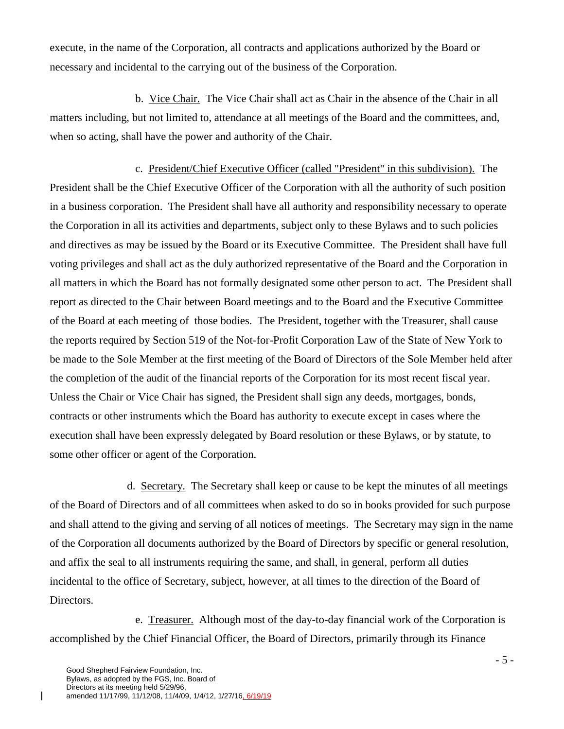execute, in the name of the Corporation, all contracts and applications authorized by the Board or necessary and incidental to the carrying out of the business of the Corporation.

 b. Vice Chair. The Vice Chair shall act as Chair in the absence of the Chair in all matters including, but not limited to, attendance at all meetings of the Board and the committees, and, when so acting, shall have the power and authority of the Chair.

 c. President/Chief Executive Officer (called "President" in this subdivision). The President shall be the Chief Executive Officer of the Corporation with all the authority of such position in a business corporation. The President shall have all authority and responsibility necessary to operate the Corporation in all its activities and departments, subject only to these Bylaws and to such policies and directives as may be issued by the Board or its Executive Committee. The President shall have full voting privileges and shall act as the duly authorized representative of the Board and the Corporation in all matters in which the Board has not formally designated some other person to act. The President shall report as directed to the Chair between Board meetings and to the Board and the Executive Committee of the Board at each meeting of those bodies. The President, together with the Treasurer, shall cause the reports required by Section 519 of the Not-for-Profit Corporation Law of the State of New York to be made to the Sole Member at the first meeting of the Board of Directors of the Sole Member held after the completion of the audit of the financial reports of the Corporation for its most recent fiscal year. Unless the Chair or Vice Chair has signed, the President shall sign any deeds, mortgages, bonds, contracts or other instruments which the Board has authority to execute except in cases where the execution shall have been expressly delegated by Board resolution or these Bylaws, or by statute, to some other officer or agent of the Corporation.

 d. Secretary. The Secretary shall keep or cause to be kept the minutes of all meetings of the Board of Directors and of all committees when asked to do so in books provided for such purpose and shall attend to the giving and serving of all notices of meetings. The Secretary may sign in the name of the Corporation all documents authorized by the Board of Directors by specific or general resolution, and affix the seal to all instruments requiring the same, and shall, in general, perform all duties incidental to the office of Secretary, subject, however, at all times to the direction of the Board of Directors.

 e. Treasurer. Although most of the day-to-day financial work of the Corporation is accomplished by the Chief Financial Officer, the Board of Directors, primarily through its Finance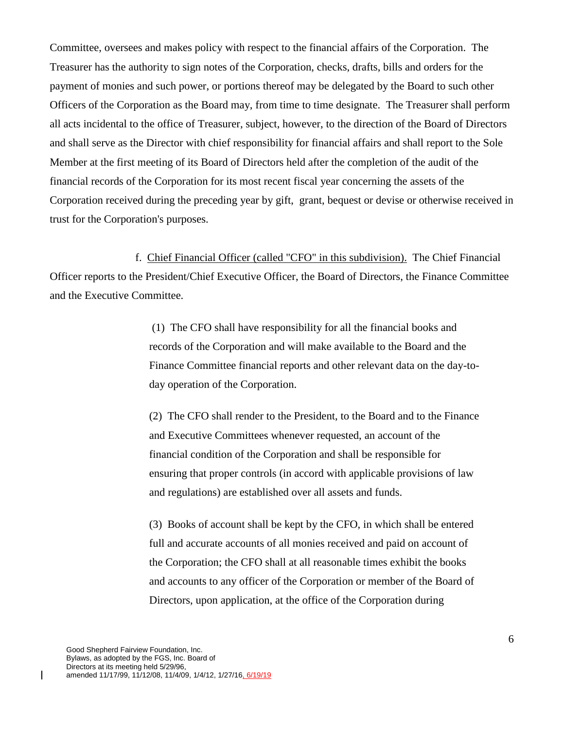Committee, oversees and makes policy with respect to the financial affairs of the Corporation. The Treasurer has the authority to sign notes of the Corporation, checks, drafts, bills and orders for the payment of monies and such power, or portions thereof may be delegated by the Board to such other Officers of the Corporation as the Board may, from time to time designate. The Treasurer shall perform all acts incidental to the office of Treasurer, subject, however, to the direction of the Board of Directors and shall serve as the Director with chief responsibility for financial affairs and shall report to the Sole Member at the first meeting of its Board of Directors held after the completion of the audit of the financial records of the Corporation for its most recent fiscal year concerning the assets of the Corporation received during the preceding year by gift, grant, bequest or devise or otherwise received in trust for the Corporation's purposes.

 f. Chief Financial Officer (called "CFO" in this subdivision). The Chief Financial Officer reports to the President/Chief Executive Officer, the Board of Directors, the Finance Committee and the Executive Committee.

> (1) The CFO shall have responsibility for all the financial books and records of the Corporation and will make available to the Board and the Finance Committee financial reports and other relevant data on the day-today operation of the Corporation.

> (2) The CFO shall render to the President, to the Board and to the Finance and Executive Committees whenever requested, an account of the financial condition of the Corporation and shall be responsible for ensuring that proper controls (in accord with applicable provisions of law and regulations) are established over all assets and funds.

(3) Books of account shall be kept by the CFO, in which shall be entered full and accurate accounts of all monies received and paid on account of the Corporation; the CFO shall at all reasonable times exhibit the books and accounts to any officer of the Corporation or member of the Board of Directors, upon application, at the office of the Corporation during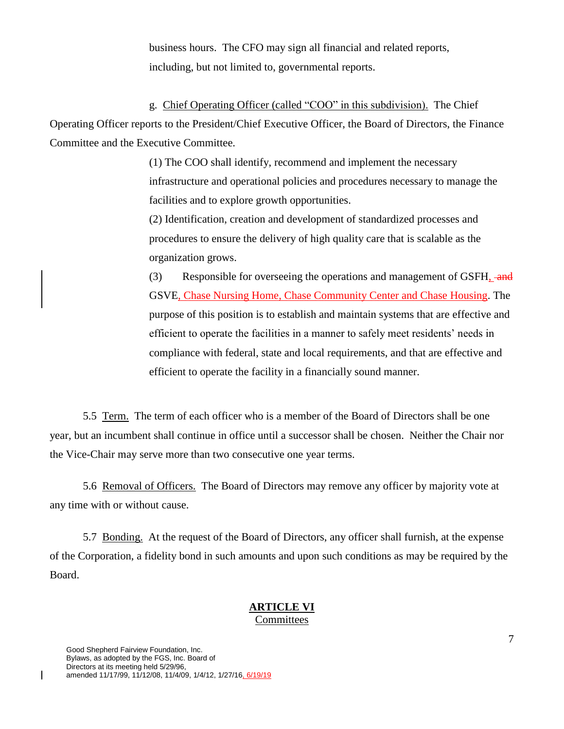business hours. The CFO may sign all financial and related reports, including, but not limited to, governmental reports.

g. Chief Operating Officer (called "COO" in this subdivision). The Chief Operating Officer reports to the President/Chief Executive Officer, the Board of Directors, the Finance Committee and the Executive Committee.

> (1) The COO shall identify, recommend and implement the necessary infrastructure and operational policies and procedures necessary to manage the facilities and to explore growth opportunities.

(2) Identification, creation and development of standardized processes and procedures to ensure the delivery of high quality care that is scalable as the organization grows.

(3) Responsible for overseeing the operations and management of GSFH,  $\frac{1}{2}$ GSVE, Chase Nursing Home, Chase Community Center and Chase Housing. The purpose of this position is to establish and maintain systems that are effective and efficient to operate the facilities in a manner to safely meet residents' needs in compliance with federal, state and local requirements, and that are effective and efficient to operate the facility in a financially sound manner.

5.5 Term. The term of each officer who is a member of the Board of Directors shall be one year, but an incumbent shall continue in office until a successor shall be chosen. Neither the Chair nor the Vice-Chair may serve more than two consecutive one year terms.

5.6 Removal of Officers. The Board of Directors may remove any officer by majority vote at any time with or without cause.

5.7 Bonding. At the request of the Board of Directors, any officer shall furnish, at the expense of the Corporation, a fidelity bond in such amounts and upon such conditions as may be required by the Board.

#### **ARTICLE VI** Committees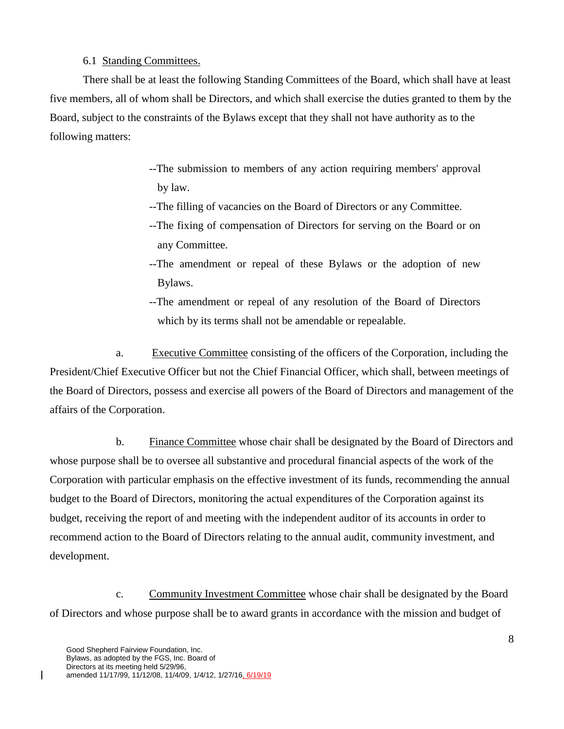#### 6.1 Standing Committees.

There shall be at least the following Standing Committees of the Board, which shall have at least five members, all of whom shall be Directors, and which shall exercise the duties granted to them by the Board, subject to the constraints of the Bylaws except that they shall not have authority as to the following matters:

- --The submission to members of any action requiring members' approval by law.
- --The filling of vacancies on the Board of Directors or any Committee.
- --The fixing of compensation of Directors for serving on the Board or on any Committee.
- --The amendment or repeal of these Bylaws or the adoption of new Bylaws.
- --The amendment or repeal of any resolution of the Board of Directors which by its terms shall not be amendable or repealable.

a. Executive Committee consisting of the officers of the Corporation, including the President/Chief Executive Officer but not the Chief Financial Officer, which shall, between meetings of the Board of Directors, possess and exercise all powers of the Board of Directors and management of the affairs of the Corporation.

 b. Finance Committee whose chair shall be designated by the Board of Directors and whose purpose shall be to oversee all substantive and procedural financial aspects of the work of the Corporation with particular emphasis on the effective investment of its funds, recommending the annual budget to the Board of Directors, monitoring the actual expenditures of the Corporation against its budget, receiving the report of and meeting with the independent auditor of its accounts in order to recommend action to the Board of Directors relating to the annual audit, community investment, and development.

c. Community Investment Committee whose chair shall be designated by the Board of Directors and whose purpose shall be to award grants in accordance with the mission and budget of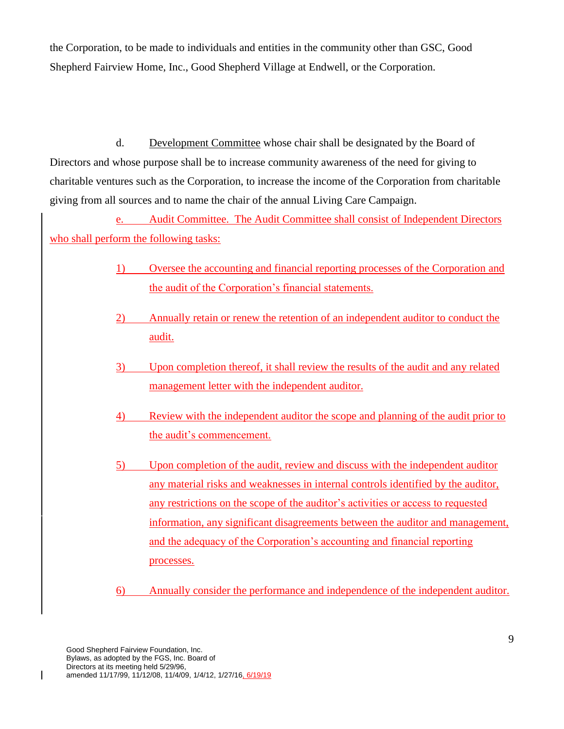the Corporation, to be made to individuals and entities in the community other than GSC, Good Shepherd Fairview Home, Inc., Good Shepherd Village at Endwell, or the Corporation.

d. Development Committee whose chair shall be designated by the Board of Directors and whose purpose shall be to increase community awareness of the need for giving to charitable ventures such as the Corporation, to increase the income of the Corporation from charitable giving from all sources and to name the chair of the annual Living Care Campaign.

e. Audit Committee. The Audit Committee shall consist of Independent Directors who shall perform the following tasks:

- 1) Oversee the accounting and financial reporting processes of the Corporation and the audit of the Corporation's financial statements.
- 2) Annually retain or renew the retention of an independent auditor to conduct the audit.
- 3) Upon completion thereof, it shall review the results of the audit and any related management letter with the independent auditor.
- 4) Review with the independent auditor the scope and planning of the audit prior to the audit's commencement.
- 5) Upon completion of the audit, review and discuss with the independent auditor any material risks and weaknesses in internal controls identified by the auditor, any restrictions on the scope of the auditor's activities or access to requested information, any significant disagreements between the auditor and management, and the adequacy of the Corporation's accounting and financial reporting processes.
- 6) Annually consider the performance and independence of the independent auditor.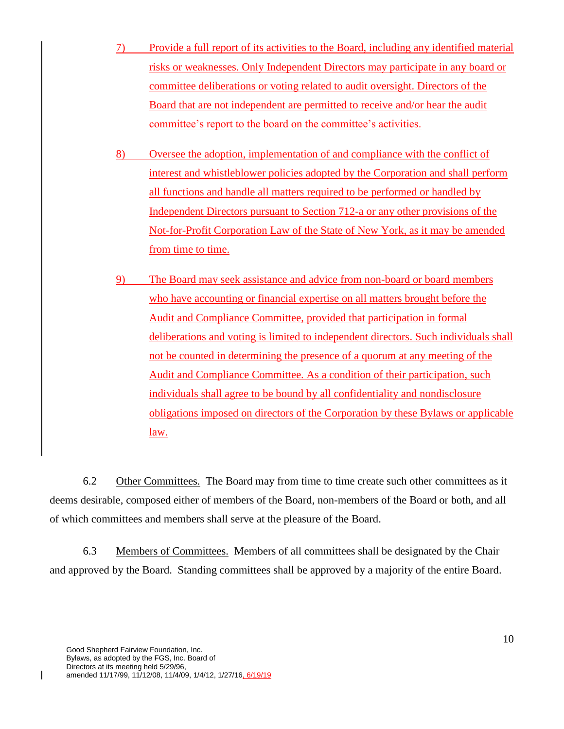- 7) Provide a full report of its activities to the Board, including any identified material risks or weaknesses. Only Independent Directors may participate in any board or committee deliberations or voting related to audit oversight. Directors of the Board that are not independent are permitted to receive and/or hear the audit committee's report to the board on the committee's activities.
- 8) Oversee the adoption, implementation of and compliance with the conflict of interest and whistleblower policies adopted by the Corporation and shall perform all functions and handle all matters required to be performed or handled by Independent Directors pursuant to Section 712-a or any other provisions of the Not-for-Profit Corporation Law of the State of New York, as it may be amended from time to time.
- 9) The Board may seek assistance and advice from non-board or board members who have accounting or financial expertise on all matters brought before the Audit and Compliance Committee, provided that participation in formal deliberations and voting is limited to independent directors. Such individuals shall not be counted in determining the presence of a quorum at any meeting of the Audit and Compliance Committee. As a condition of their participation, such individuals shall agree to be bound by all confidentiality and nondisclosure obligations imposed on directors of the Corporation by these Bylaws or applicable law.

6.2 Other Committees. The Board may from time to time create such other committees as it deems desirable, composed either of members of the Board, non-members of the Board or both, and all of which committees and members shall serve at the pleasure of the Board.

6.3 Members of Committees. Members of all committees shall be designated by the Chair and approved by the Board. Standing committees shall be approved by a majority of the entire Board.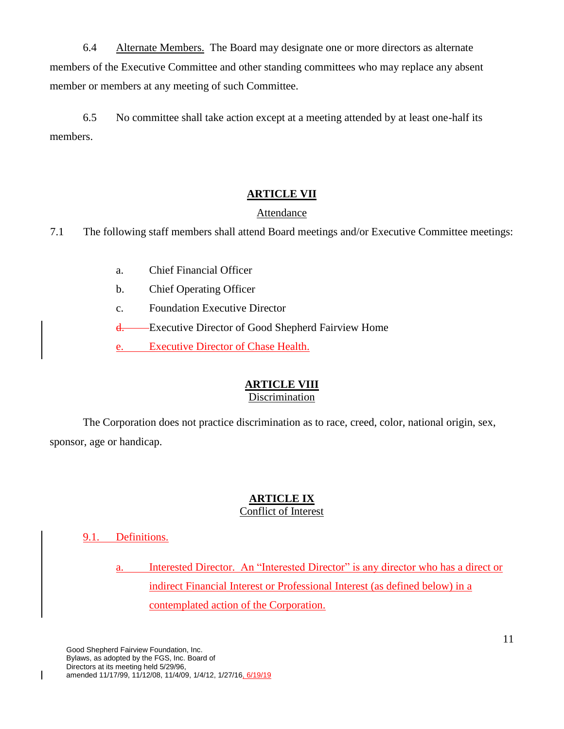6.4 Alternate Members. The Board may designate one or more directors as alternate members of the Executive Committee and other standing committees who may replace any absent member or members at any meeting of such Committee.

6.5 No committee shall take action except at a meeting attended by at least one-half its members.

## **ARTICLE VII**

#### Attendance

7.1 The following staff members shall attend Board meetings and/or Executive Committee meetings:

- a. Chief Financial Officer
- b. Chief Operating Officer
- c. Foundation Executive Director

d. Executive Director of Good Shepherd Fairview Home

e. Executive Director of Chase Health.

# **ARTICLE VIII**

#### Discrimination

The Corporation does not practice discrimination as to race, creed, color, national origin, sex, sponsor, age or handicap.

# **ARTICLE IX**

## Conflict of Interest

## 9.1. Definitions.

 $\overline{\phantom{a}}$ 

a. Interested Director. An "Interested Director" is any director who has a direct or indirect Financial Interest or Professional Interest (as defined below) in a contemplated action of the Corporation.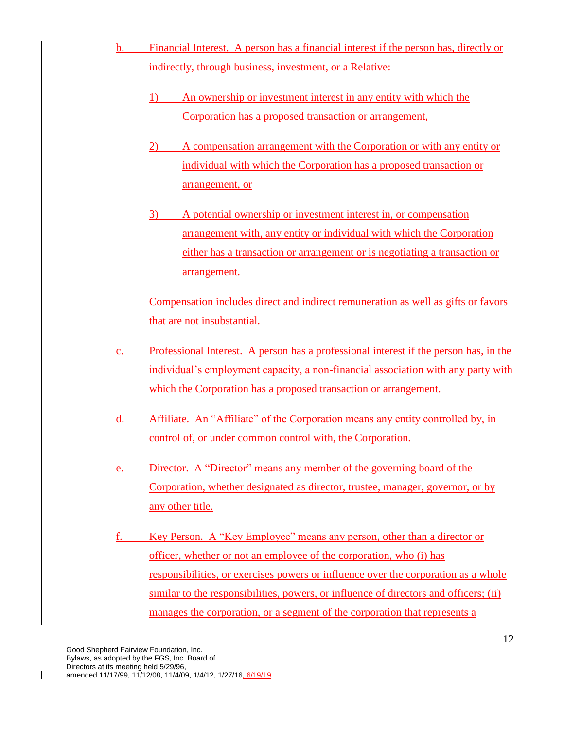- b. Financial Interest. A person has a financial interest if the person has, directly or indirectly, through business, investment, or a Relative:
	- 1) An ownership or investment interest in any entity with which the Corporation has a proposed transaction or arrangement,
	- 2) A compensation arrangement with the Corporation or with any entity or individual with which the Corporation has a proposed transaction or arrangement, or
	- 3) A potential ownership or investment interest in, or compensation arrangement with, any entity or individual with which the Corporation either has a transaction or arrangement or is negotiating a transaction or arrangement.

Compensation includes direct and indirect remuneration as well as gifts or favors that are not insubstantial.

- c. Professional Interest. A person has a professional interest if the person has, in the individual's employment capacity, a non-financial association with any party with which the Corporation has a proposed transaction or arrangement.
- d. Affiliate. An "Affiliate" of the Corporation means any entity controlled by, in control of, or under common control with, the Corporation.
- e. Director. A "Director" means any member of the governing board of the Corporation, whether designated as director, trustee, manager, governor, or by any other title.
- f. Key Person. A "Key Employee" means any person, other than a director or officer, whether or not an employee of the corporation, who (i) has responsibilities, or exercises powers or influence over the corporation as a whole similar to the responsibilities, powers, or influence of directors and officers; (ii) manages the corporation, or a segment of the corporation that represents a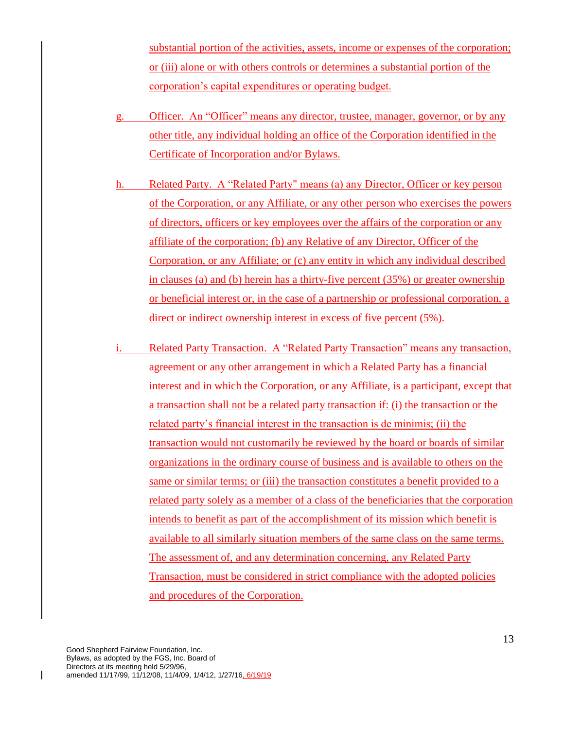substantial portion of the activities, assets, income or expenses of the corporation; or (iii) alone or with others controls or determines a substantial portion of the corporation's capital expenditures or operating budget.

- g. Officer. An "Officer" means any director, trustee, manager, governor, or by any other title, any individual holding an office of the Corporation identified in the Certificate of Incorporation and/or Bylaws.
- h. Related Party. A "Related Party" means (a) any Director, Officer or key person of the Corporation, or any Affiliate, or any other person who exercises the powers of directors, officers or key employees over the affairs of the corporation or any affiliate of the corporation; (b) any Relative of any Director, Officer of the Corporation, or any Affiliate; or (c) any entity in which any individual described in clauses (a) and (b) herein has a thirty-five percent (35%) or greater ownership or beneficial interest or, in the case of a partnership or professional corporation, a direct or indirect ownership interest in excess of five percent (5%).
- i. Related Party Transaction. A "Related Party Transaction" means any transaction, agreement or any other arrangement in which a Related Party has a financial interest and in which the Corporation, or any Affiliate, is a participant, except that a transaction shall not be a related party transaction if: (i) the transaction or the related party's financial interest in the transaction is de minimis; (ii) the transaction would not customarily be reviewed by the board or boards of similar organizations in the ordinary course of business and is available to others on the same or similar terms; or (iii) the transaction constitutes a benefit provided to a related party solely as a member of a class of the beneficiaries that the corporation intends to benefit as part of the accomplishment of its mission which benefit is available to all similarly situation members of the same class on the same terms. The assessment of, and any determination concerning, any Related Party Transaction, must be considered in strict compliance with the adopted policies and procedures of the Corporation.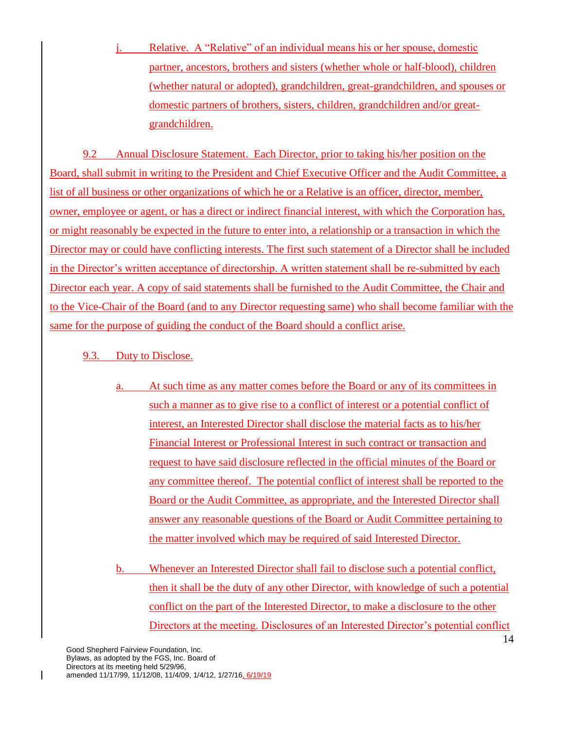j. Relative. A "Relative" of an individual means his or her spouse, domestic partner, ancestors, brothers and sisters (whether whole or half-blood), children (whether natural or adopted), grandchildren, great-grandchildren, and spouses or domestic partners of brothers, sisters, children, grandchildren and/or greatgrandchildren.

9.2 Annual Disclosure Statement. Each Director, prior to taking his/her position on the Board, shall submit in writing to the President and Chief Executive Officer and the Audit Committee, a list of all business or other organizations of which he or a Relative is an officer, director, member, owner, employee or agent, or has a direct or indirect financial interest, with which the Corporation has, or might reasonably be expected in the future to enter into, a relationship or a transaction in which the Director may or could have conflicting interests. The first such statement of a Director shall be included in the Director's written acceptance of directorship. A written statement shall be re-submitted by each Director each year. A copy of said statements shall be furnished to the Audit Committee, the Chair and to the Vice-Chair of the Board (and to any Director requesting same) who shall become familiar with the same for the purpose of guiding the conduct of the Board should a conflict arise.

- 9.3. Duty to Disclose.
	- a. At such time as any matter comes before the Board or any of its committees in such a manner as to give rise to a conflict of interest or a potential conflict of interest, an Interested Director shall disclose the material facts as to his/her Financial Interest or Professional Interest in such contract or transaction and request to have said disclosure reflected in the official minutes of the Board or any committee thereof. The potential conflict of interest shall be reported to the Board or the Audit Committee, as appropriate, and the Interested Director shall answer any reasonable questions of the Board or Audit Committee pertaining to the matter involved which may be required of said Interested Director.

b. Whenever an Interested Director shall fail to disclose such a potential conflict, then it shall be the duty of any other Director, with knowledge of such a potential conflict on the part of the Interested Director, to make a disclosure to the other Directors at the meeting. Disclosures of an Interested Director's potential conflict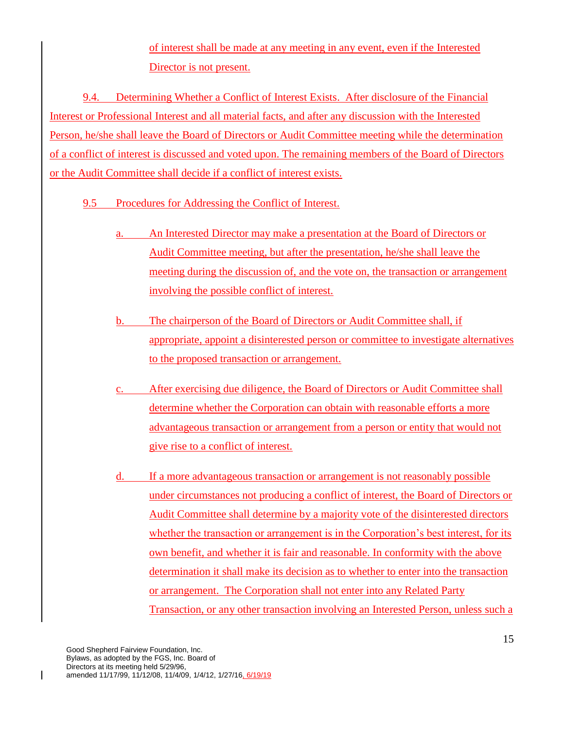of interest shall be made at any meeting in any event, even if the Interested Director is not present.

9.4. Determining Whether a Conflict of Interest Exists. After disclosure of the Financial Interest or Professional Interest and all material facts, and after any discussion with the Interested Person, he/she shall leave the Board of Directors or Audit Committee meeting while the determination of a conflict of interest is discussed and voted upon. The remaining members of the Board of Directors or the Audit Committee shall decide if a conflict of interest exists.

- 9.5 Procedures for Addressing the Conflict of Interest.
	- a. An Interested Director may make a presentation at the Board of Directors or Audit Committee meeting, but after the presentation, he/she shall leave the meeting during the discussion of, and the vote on, the transaction or arrangement involving the possible conflict of interest.
	- b. The chairperson of the Board of Directors or Audit Committee shall, if appropriate, appoint a disinterested person or committee to investigate alternatives to the proposed transaction or arrangement.
	- c. After exercising due diligence, the Board of Directors or Audit Committee shall determine whether the Corporation can obtain with reasonable efforts a more advantageous transaction or arrangement from a person or entity that would not give rise to a conflict of interest.
	- d. If a more advantageous transaction or arrangement is not reasonably possible under circumstances not producing a conflict of interest, the Board of Directors or Audit Committee shall determine by a majority vote of the disinterested directors whether the transaction or arrangement is in the Corporation's best interest, for its own benefit, and whether it is fair and reasonable. In conformity with the above determination it shall make its decision as to whether to enter into the transaction or arrangement. The Corporation shall not enter into any Related Party Transaction, or any other transaction involving an Interested Person, unless such a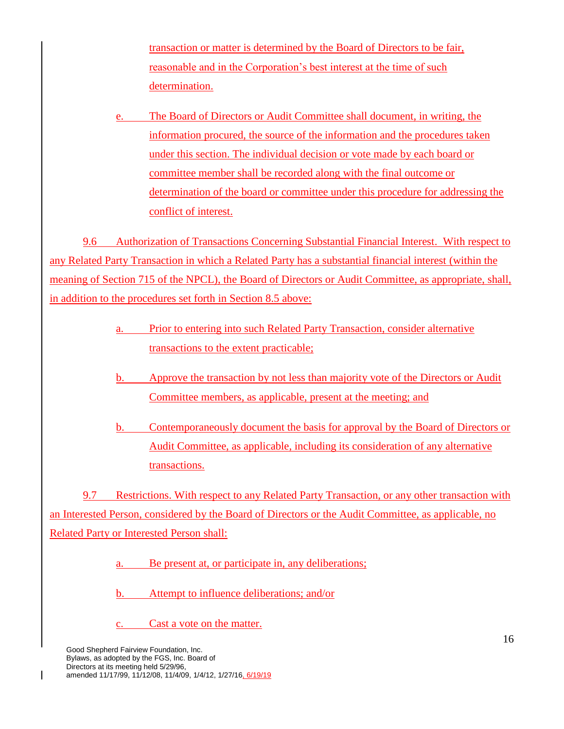transaction or matter is determined by the Board of Directors to be fair, reasonable and in the Corporation's best interest at the time of such determination.

e. The Board of Directors or Audit Committee shall document, in writing, the information procured, the source of the information and the procedures taken under this section. The individual decision or vote made by each board or committee member shall be recorded along with the final outcome or determination of the board or committee under this procedure for addressing the conflict of interest.

9.6 Authorization of Transactions Concerning Substantial Financial Interest. With respect to any Related Party Transaction in which a Related Party has a substantial financial interest (within the meaning of Section 715 of the NPCL), the Board of Directors or Audit Committee, as appropriate, shall, in addition to the procedures set forth in Section 8.5 above:

- a. Prior to entering into such Related Party Transaction, consider alternative transactions to the extent practicable;
- b. Approve the transaction by not less than majority vote of the Directors or Audit Committee members, as applicable, present at the meeting; and
- b. Contemporaneously document the basis for approval by the Board of Directors or Audit Committee, as applicable, including its consideration of any alternative transactions.

9.7 Restrictions. With respect to any Related Party Transaction, or any other transaction with an Interested Person, considered by the Board of Directors or the Audit Committee, as applicable, no Related Party or Interested Person shall:

a. Be present at, or participate in, any deliberations;

b. Attempt to influence deliberations; and/or

Cast a vote on the matter.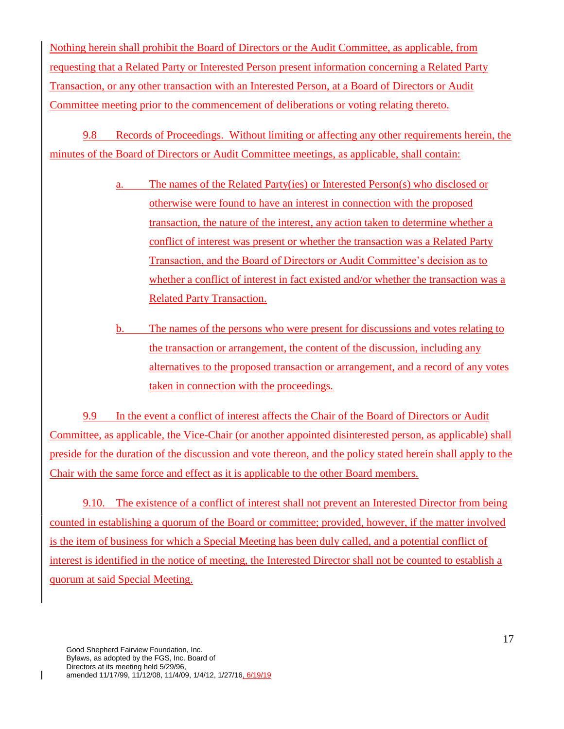Nothing herein shall prohibit the Board of Directors or the Audit Committee, as applicable, from requesting that a Related Party or Interested Person present information concerning a Related Party Transaction, or any other transaction with an Interested Person, at a Board of Directors or Audit Committee meeting prior to the commencement of deliberations or voting relating thereto.

9.8 Records of Proceedings. Without limiting or affecting any other requirements herein, the minutes of the Board of Directors or Audit Committee meetings, as applicable, shall contain:

- a. The names of the Related Party(ies) or Interested Person(s) who disclosed or otherwise were found to have an interest in connection with the proposed transaction, the nature of the interest, any action taken to determine whether a conflict of interest was present or whether the transaction was a Related Party Transaction, and the Board of Directors or Audit Committee's decision as to whether a conflict of interest in fact existed and/or whether the transaction was a Related Party Transaction.
- b. The names of the persons who were present for discussions and votes relating to the transaction or arrangement, the content of the discussion, including any alternatives to the proposed transaction or arrangement, and a record of any votes taken in connection with the proceedings.

9.9 In the event a conflict of interest affects the Chair of the Board of Directors or Audit Committee, as applicable, the Vice-Chair (or another appointed disinterested person, as applicable) shall preside for the duration of the discussion and vote thereon, and the policy stated herein shall apply to the Chair with the same force and effect as it is applicable to the other Board members.

9.10. The existence of a conflict of interest shall not prevent an Interested Director from being counted in establishing a quorum of the Board or committee; provided, however, if the matter involved is the item of business for which a Special Meeting has been duly called, and a potential conflict of interest is identified in the notice of meeting, the Interested Director shall not be counted to establish a quorum at said Special Meeting.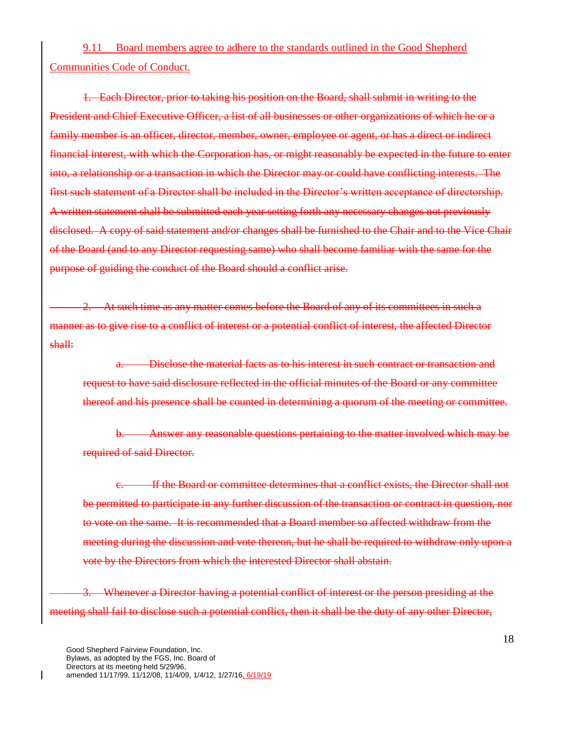9.11 Board members agree to adhere to the standards outlined in the Good Shepherd Communities Code of Conduct.

1. Each Director, prior to taking his position on the Board, shall submit in writing to the President and Chief Executive Officer, a list of all businesses or other organizations of which he or a family member is an officer, director, member, owner, employee or agent, or has a direct or indirect financial interest, with which the Corporation has, or might reasonably be expected in the future to enter into, a relationship or a transaction in which the Director may or could have conflicting interests. The first such statement of a Director shall be included in the Director's written acceptance of directorship. A written statement shall be submitted each year setting forth any necessary changes not previously disclosed. A copy of said statement and/or changes shall be furnished to the Chair and to the Vice Chair of the Board (and to any Director requesting same) who shall become familiar with the same for the purpose of guiding the conduct of the Board should a conflict arise.

At such time as any matter comes before the Board of any of its committees in such a manner as to give rise to a conflict of interest or a potential conflict of interest, the affected Director shall:

Disclose the material facts as to his interest in such contract or transaction and request to have said disclosure reflected in the official minutes of the Board or any committee thereof and his presence shall be counted in determining a quorum of the meeting or committee.

b. Answer any reasonable questions pertaining to the matter involved which may be required of said Director.

If the Board or committee determines that a conflict exists, the Director shall not be permitted to participate in any further discussion of the transaction or contract in question, nor to vote on the same. It is recommended that a Board member so affected withdraw from the meeting during the discussion and vote thereon, but he shall be required to withdraw only upon a vote by the Directors from which the interested Director shall abstain.

Whenever a Director having a potential conflict of interest or the person presiding at the meeting shall fail to disclose such a potential conflict, then it shall be the duty of any other Director,